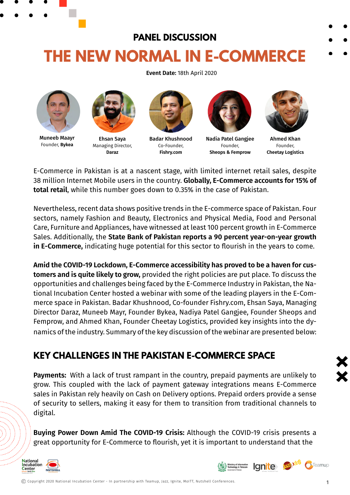# **PANEL DISCUSSION THE NEW NORMAL IN E-COMMERCE**

**Event Date:** 18th April 2020



Muneeb Maayr Founder, **Bykea**



Ehsan Saya Managing Director, **Daraz**



Badar Khushnood Co-Founder, **Fishry.com**



Nadia Patel Gangjee Founder, **Sheops & Femprow**



Ahmed Khan Founder, **Cheetay Logistics**

E-Commerce in Pakistan is at a nascent stage, with limited internet retail sales, despite 38 million Internet Mobile users in the country. **Globally, E-Commerce accounts for 15% of total retail**, while this number goes down to 0.35% in the case of Pakistan.

Nevertheless, recent data shows positive trends in the E-commerce space of Pakistan. Four sectors, namely Fashion and Beauty, Electronics and Physical Media, Food and Personal Care, Furniture and Appliances, have witnessed at least 100 percent growth in E-Commerce Sales. Additionally, the **State Bank of Pakistan reports a 90 percent year-on-year growth in E-Commerce,** indicating huge potential for this sector to flourish in the years to come.

**Amid the COVID-19 Lockdown, E-Commerce accessibility has proved to be a haven for customers and is quite likely to grow,** provided the right policies are put place. To discuss the opportunities and challenges being faced by the E-Commerce Industry in Pakistan, the National Incubation Center hosted a webinar with some of the leading players in the E-Commerce space in Pakistan. Badar Khushnood, Co-founder Fishry.com, Ehsan Saya, Managing Director Daraz, Muneeb Mayr, Founder Bykea, Nadiya Patel Gangjee, Founder Sheops and Femprow, and Ahmed Khan, Founder Cheetay Logistics, provided key insights into the dynamics of the industry. Summary of the key discussion of the webinar are presented below:

## **KEY CHALLENGES IN THE PAKISTAN E-COMMERCE SPACE**

**Payments:** With a lack of trust rampant in the country, prepaid payments are unlikely to grow. This coupled with the lack of payment gateway integrations means E-Commerce sales in Pakistan rely heavily on Cash on Delivery options. Prepaid orders provide a sense of security to sellers, making it easy for them to transition from traditional channels to digital.

**Buying Power Down Amid The COVID-19 Crisis:** Although the COVID-19 crisis presents a great opportunity for E-Commerce to flourish, yet it is important to understand that the



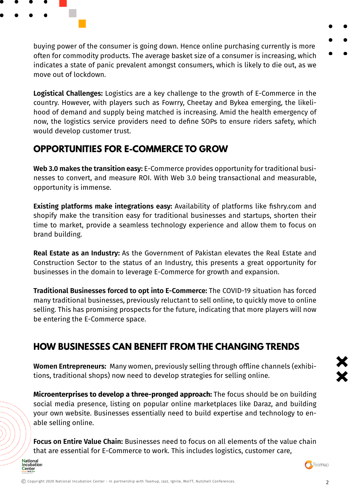

buying power of the consumer is going down. Hence online purchasing currently is more often for commodity products. The average basket size of a consumer is increasing, which indicates a state of panic prevalent amongst consumers, which is likely to die out, as we move out of lockdown.

**Logistical Challenges:** Logistics are a key challenge to the growth of E-Commerce in the country. However, with players such as Fowrry, Cheetay and Bykea emerging, the likelihood of demand and supply being matched is increasing. Amid the health emergency of now, the logistics service providers need to define SOPs to ensure riders safety, which would develop customer trust.

#### **OPPORTUNITIES FOR E-COMMERCE TO GROW**

**Web 3.0 makes the transition easy:** E-Commerce provides opportunity for traditional businesses to convert, and measure ROI. With Web 3.0 being transactional and measurable, opportunity is immense.

**Existing platforms make integrations easy:** Availability of platforms like fishry.com and shopify make the transition easy for traditional businesses and startups, shorten their time to market, provide a seamless technology experience and allow them to focus on brand building.

**Real Estate as an Industry:** As the Government of Pakistan elevates the Real Estate and Construction Sector to the status of an Industry, this presents a great opportunity for businesses in the domain to leverage E-Commerce for growth and expansion.

**Traditional Businesses forced to opt into E-Commerce:** The COVID-19 situation has forced many traditional businesses, previously reluctant to sell online, to quickly move to online selling. This has promising prospects for the future, indicating that more players will now be entering the E-Commerce space.

### **HOW BUSINESSES CAN BENEFIT FROM THE CHANGING TRENDS**

**Women Entrepreneurs:** Many women, previously selling through offline channels (exhibitions, traditional shops) now need to develop strategies for selling online.

**Microenterprises to develop a three-pronged approach:** The focus should be on building social media presence, listing on popular online marketplaces like Daraz, and building your own website. Businesses essentially need to build expertise and technology to enable selling online.

**Focus on Entire Value Chain:** Businesses need to focus on all elements of the value chain that are essential for E-Commerce to work. This includes logistics, customer care,





2 Copyright 2020 National Incubation Center - In partnership with Teamup, Jazz, Ignite, MoITT, Nutshell Conferences.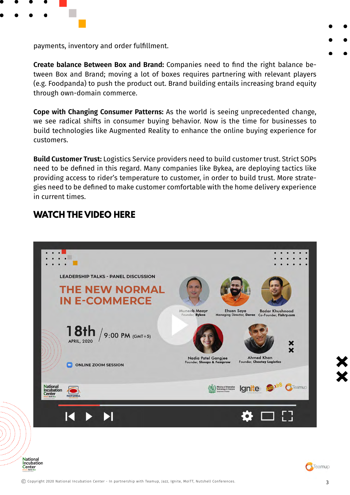

payments, inventory and order fulfillment.

**Create balance Between Box and Brand:** Companies need to find the right balance between Box and Brand; moving a lot of boxes requires partnering with relevant players (e.g. Foodpanda) to push the product out. Brand building entails increasing brand equity through own-domain commerce.

**Cope with Changing Consumer Patterns:** As the world is seeing unprecedented change, we see radical shifts in consumer buying behavior. Now is the time for businesses to build technologies like Augmented Reality to enhance the online buying experience for customers.

**Build Customer Trust:** Logistics Service providers need to build customer trust. Strict SOPs need to be defined in this regard. Many companies like Bykea, are deploying tactics like providing access to rider's temperature to customer, in order to build trust. More strategies need to be defined to make customer comfortable with the home delivery experience in current times.

#### **WATCH THE VIDEO HERE**



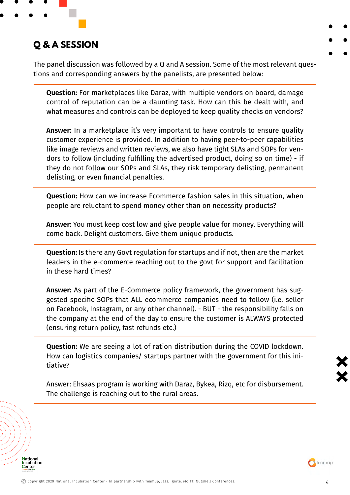

# **Q & A SESSION**

The panel discussion was followed by a Q and A session. Some of the most relevant questions and corresponding answers by the panelists, are presented below:

**Question:** For marketplaces like Daraz, with multiple vendors on board, damage control of reputation can be a daunting task. How can this be dealt with, and what measures and controls can be deployed to keep quality checks on vendors?

**Answer:** In a marketplace it's very important to have controls to ensure quality customer experience is provided. In addition to having peer-to-peer capabilities like image reviews and written reviews, we also have tight SLAs and SOPs for vendors to follow (including fulfilling the advertised product, doing so on time) - if they do not follow our SOPs and SLAs, they risk temporary delisting, permanent delisting, or even financial penalties.

**Question:** How can we increase Ecommerce fashion sales in this situation, when people are reluctant to spend money other than on necessity products?

**Answer:** You must keep cost low and give people value for money. Everything will come back. Delight customers. Give them unique products.

**Question:** Is there any Govt regulation for startups and if not, then are the market leaders in the e-commerce reaching out to the govt for support and facilitation in these hard times?

**Answer:** As part of the E-Commerce policy framework, the government has suggested specific SOPs that ALL ecommerce companies need to follow (i.e. seller on Facebook, Instagram, or any other channel). - BUT - the responsibility falls on the company at the end of the day to ensure the customer is ALWAYS protected (ensuring return policy, fast refunds etc.)

**Question:** We are seeing a lot of ration distribution during the COVID lockdown. How can logistics companies/ startups partner with the government for this initiative?

Answer: Ehsaas program is working with Daraz, Bykea, Rizq, etc for disbursement. The challenge is reaching out to the rural areas.